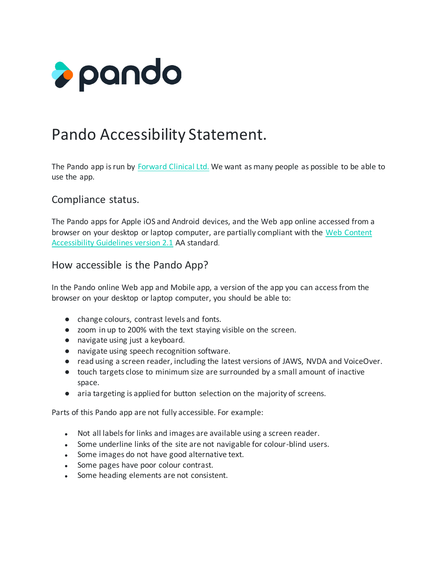

# Pando Accessibility Statement.

The Pando app is run by [Forward Clinical Ltd.](https://hellopando.com/) We want as many people as possible to be able to use the app.

#### Compliance status.

The Pando apps for Apple iOS and Android devices, and the Web app online accessed from a browser on your desktop or laptop computer, are partially compliant with the [Web Content](https://www.w3.org/TR/WCAG21/)  [Accessibility Guidelines version 2.1](https://www.w3.org/TR/WCAG21/) AA standard.

#### How accessible is the Pando App?

In the Pando online Web app and Mobile app, a version of the app you can access from the browser on your desktop or laptop computer, you should be able to:

- change colours, contrast levels and fonts.
- zoom in up to 200% with the text staying visible on the screen.
- navigate using just a keyboard.
- navigate using speech recognition software.
- read using a screen reader, including the latest versions of JAWS, NVDA and VoiceOver.
- touch targets close to minimum size are surrounded by a small amount of inactive space.
- aria targeting is applied for button selection on the majority of screens.

Parts of this Pando app are not fully accessible. For example:

- Not all labels for links and images are available using a screen reader.
- Some underline links of the site are not navigable for colour-blind users.
- Some images do not have good alternative text.
- Some pages have poor colour contrast.
- Some heading elements are not consistent.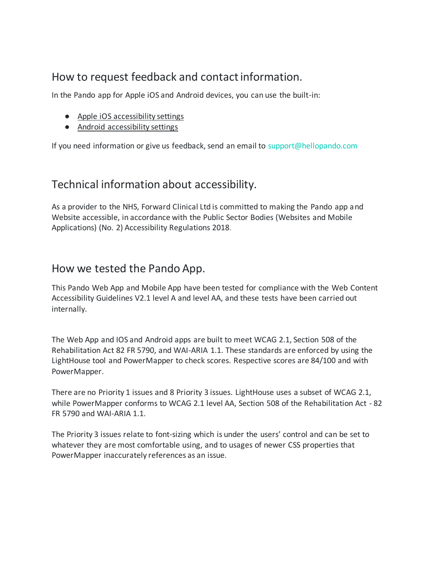## How to request feedback and contact information.

In the Pando app for Apple iOS and Android devices, you can use the built-in:

- [Apple iOS accessibility settings](https://www.apple.com/uk/accessibility/iphone/)
- [Android accessibility settings](https://support.google.com/accessibility/android/answer/6006564?hl=en-GB)

If you need information or give us feedback, send an email to support@hellopando.com

## Technical information about accessibility.

As a provider to the NHS, Forward Clinical Ltd is committed to making the Pando app and Website accessible, in accordance with the Public Sector Bodies (Websites and Mobile Applications) (No. 2) Accessibility Regulations 2018.

#### How we tested the Pando App.

This Pando Web App and Mobile App have been tested for compliance with the Web Content Accessibility Guidelines V2.1 level A and level AA, and these tests have been carried out internally.

The Web App and IOS and Android apps are built to meet WCAG 2.1, Section 508 of the Rehabilitation Act 82 FR 5790, and WAI-ARIA 1.1. These standards are enforced by using the LightHouse tool and PowerMapper to check scores. Respective scores are 84/100 and with PowerMapper.

There are no Priority 1 issues and 8 Priority 3 issues. LightHouse uses a subset of WCAG 2.1, while PowerMapper conforms to WCAG 2.1 level AA, Section 508 of the Rehabilitation Act - 82 FR 5790 and WAI-ARIA 1.1.

The Priority 3 issues relate to font-sizing which is under the users' control and can be set to whatever they are most comfortable using, and to usages of newer CSS properties that PowerMapper inaccurately references as an issue.